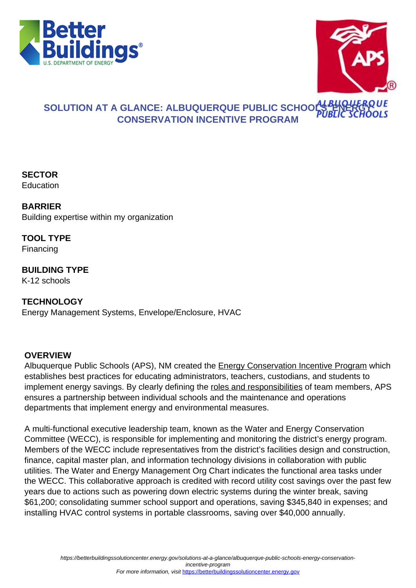



## **SOLUTION AT A GLANCE: ALBUQUERQUE PUBLIC SCHOOLS FIRE CONSERVATION INCENTIVE PROGRAM**

**SECTOR Education** 

**BARRIER** Building expertise within my organization

**TOOL TYPE** Financing

**BUILDING TYPE** K-12 schools

**TECHNOLOGY** Energy Management Systems, Envelope/Enclosure, HVAC

## **OVERVIEW**

Albuquerque Public Schools (APS), NM created the [Energy Conservation Incentive Program](http://www.aps.edu/energy-conservation/energy-management-goals/energy-management) which establishes best practices for educating administrators, teachers, custodians, and students to implement energy savings. By clearly defining the [roles and responsibilities](http://www.aps.edu/energy-conservation/energy-management-goals/school-representative-responsibilities) of team members, APS ensures a partnership between individual schools and the maintenance and operations departments that implement energy and environmental measures.

A multi-functional executive leadership team, known as the Water and Energy Conservation Committee (WECC), is responsible for implementing and monitoring the district's energy program. Members of the WECC include representatives from the district's facilities design and construction, finance, capital master plan, and information technology divisions in collaboration with public utilities. The Water and Energy Management Org Chart indicates the functional area tasks under the WECC. This collaborative approach is credited with record utility cost savings over the past few years due to actions such as powering down electric systems during the winter break, saving \$61,200; consolidating summer school support and operations, saving \$345,840 in expenses; and installing HVAC control systems in portable classrooms, saving over \$40,000 annually.